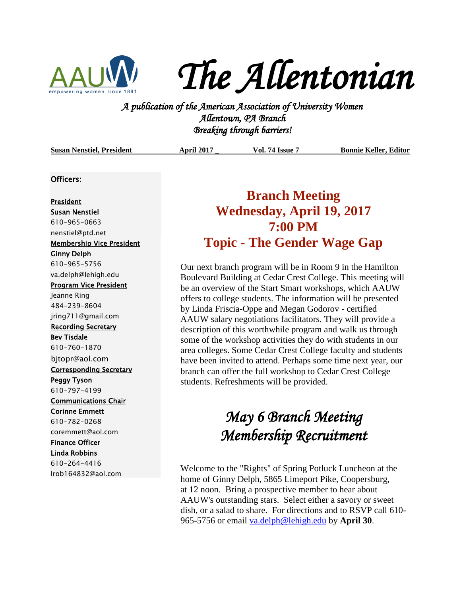

*The Allentonian* 

**A PUC FLUC I LUC 160 I LIC**<br>*A publication of the American Association of University Women*<br><sup>2</sup> *A publication of the American Association of University Women Allentown, PA Branch Breaking through barriers!* 

| <b>Susan Nenstiel, President</b> | <b>April 2017</b> | <b>Vol. 74 Issue</b> | <b>Bonnie Keller, Editor</b> |
|----------------------------------|-------------------|----------------------|------------------------------|
|                                  |                   |                      |                              |

### Officers:

#### President

Susan Nenstiel 610-965-0663 [nenstiel@ptd.net](mailto:nenstiel@ptd.net) Membership Vice President Ginny Delph 610-965-5756 va.delph@lehigh.edu Program Vice President Jeanne Ring 484-239-8604 jring711@gmail.com Recording Secretary Bev Tisdale 610-760-1870 bjtopr@aol.com Corresponding Secretary Peggy Tyson 610-797-4199 Communications Chair Corinne Emmett 610-782-0268 coremmett@aol.com Finance Officer Linda Robbins 610-264-4416 lrob164832@aol.com

### **Branch Meeting Wednesday, April 19, 2017 7:00 PM Topic - The Gender Wage Gap**

Our next branch program will be in Room 9 in the Hamilton Boulevard Building at Cedar Crest College. This meeting will be an overview of the Start Smart workshops, which AAUW offers to college students. The information will be presented by Linda Friscia-Oppe and Megan Godorov - certified AAUW salary negotiations facilitators. They will provide a description of this worthwhile program and walk us through some of the workshop activities they do with students in our area colleges. Some Cedar Crest College faculty and students have been invited to attend. Perhaps some time next year, our branch can offer the full workshop to Cedar Crest College students. Refreshments will be provided.

## *May 6 Branch Meeting Membership Recruitment*

Welcome to the "Rights" of Spring Potluck Luncheon at the home of Ginny Delph, 5865 Limeport Pike, Coopersburg, at 12 noon. Bring a prospective member to hear about AAUW's outstanding stars. Select either a savory or sweet dish, or a salad to share. For directions and to RSVP call 610- 965-5756 or email [va.delph@lehigh.edu](mailto:va.delph@lehigh.edu) by **April 30**.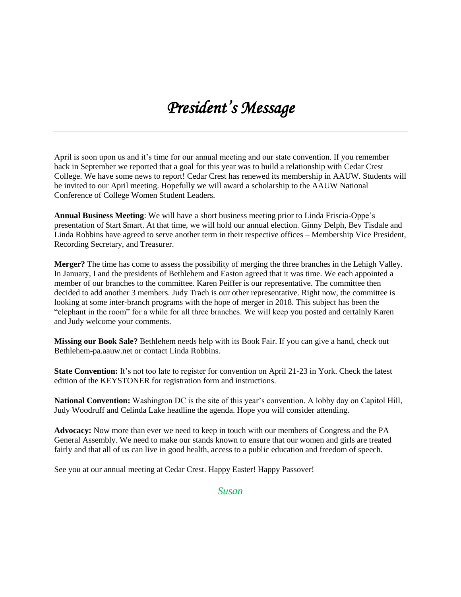# *President's Message*

April is soon upon us and it's time for our annual meeting and our state convention. If you remember back in September we reported that a goal for this year was to build a relationship with Cedar Crest College. We have some news to report! Cedar Crest has renewed its membership in AAUW. Students will be invited to our April meeting. Hopefully we will award a scholarship to the AAUW National Conference of College Women Student Leaders.

**Annual Business Meeting**: We will have a short business meeting prior to Linda Friscia-Oppe's presentation of \$tart \$mart. At that time, we will hold our annual election. Ginny Delph, Bev Tisdale and Linda Robbins have agreed to serve another term in their respective offices – Membership Vice President, Recording Secretary, and Treasurer.

**Merger?** The time has come to assess the possibility of merging the three branches in the Lehigh Valley. In January, I and the presidents of Bethlehem and Easton agreed that it was time. We each appointed a member of our branches to the committee. Karen Peiffer is our representative. The committee then decided to add another 3 members. Judy Trach is our other representative. Right now, the committee is looking at some inter-branch programs with the hope of merger in 2018. This subject has been the "elephant in the room" for a while for all three branches. We will keep you posted and certainly Karen and Judy welcome your comments.

**Missing our Book Sale?** Bethlehem needs help with its Book Fair. If you can give a hand, check out Bethlehem-pa.aauw.net or contact Linda Robbins.

**State Convention:** It's not too late to register for convention on April 21-23 in York. Check the latest edition of the KEYSTONER for registration form and instructions.

**National Convention:** Washington DC is the site of this year's convention. A lobby day on Capitol Hill, Judy Woodruff and Celinda Lake headline the agenda. Hope you will consider attending.

**Advocacy:** Now more than ever we need to keep in touch with our members of Congress and the PA General Assembly. We need to make our stands known to ensure that our women and girls are treated fairly and that all of us can live in good health, access to a public education and freedom of speech.

See you at our annual meeting at Cedar Crest. Happy Easter! Happy Passover!

*Susan*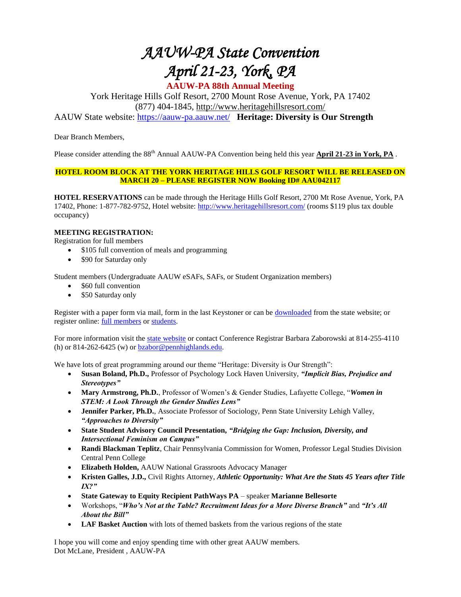# *AAUW-PA State Convention April 21-23, York, PA*

**AAUW-PA 88th Annual Meeting** York Heritage Hills Golf Resort, 2700 Mount Rose Avenue, York, PA 17402

(877) 404-1845, [http://www.heritagehillsresort.com/](https://www.heritagehillsresort.com/)

AAUW State website:<https://aauw-pa.aauw.net/>**Heritage: Diversity is Our Strength**

Dear Branch Members,

Please consider attending the 88<sup>th</sup> Annual AAUW-PA Convention being held this year **April 21-23 in York, PA**.

### **HOTEL ROOM BLOCK AT THE YORK HERITAGE HILLS GOLF RESORT WILL BE RELEASED ON MARCH 20 – PLEASE REGISTER NOW Booking ID# AAU042117**

**HOTEL RESERVATIONS** can be made through the Heritage Hills Golf Resort, 2700 Mt Rose Avenue, York, PA 17402, Phone: 1-877-782-9752, Hotel website:<http://www.heritagehillsresort.com/> (rooms \$119 plus tax double occupancy)

### **MEETING REGISTRATION:**

Registration for full members

- \$105 full convention of meals and programming
- \$90 for Saturday only

Student members (Undergraduate AAUW eSAFs, SAFs, or Student Organization members)

- \$60 full convention
- \$50 Saturday only

Register with a paper form via mail, form in the last Keystoner or can be [downloaded](http://aauw-pa.aauw.net/files/2017/02/FINAL-2017-Conference-Paper-Registration-Form.pdf) from the state website; or register online: [full members](https://www.surveymonkey.com/r/AAUWConvention2017) or [students.](https://www.surveymonkey.com/r/2017StudentAAUWPAConvention)

For more information visit the [state website](https://aauw-pa.aauw.net/meeting-registration/) or contact Conference Registrar Barbara Zaborowski at 814-255-4110 (h) or  $814-262-6425$  (w) or  $bzabor@pennhighlands.edu$ .

We have lots of great programming around our theme "Heritage: Diversity is Our Strength":

- **Susan Boland, Ph.D.,** Professor of Psychology Lock Haven University, *"Implicit Bias, Prejudice and Stereotypes"*
- **Mary Armstrong, Ph.D.**, Professor of Women's & Gender Studies, Lafayette College, "*Women in STEM: A Look Through the Gender Studies Lens"*
- **Jennifer Parker, Ph.D.**, Associate Professor of Sociology, Penn State University Lehigh Valley, *"Approaches to Diversity"*
- **State Student Advisory Council Presentation,** *"Bridging the Gap: Inclusion, Diversity, and Intersectional Feminism on Campus"*
- **Randi Blackman Teplitz**, Chair Pennsylvania Commission for Women, Professor Legal Studies Division Central Penn College
- **Elizabeth Holden,** AAUW National Grassroots Advocacy Manager
- **Kristen Galles, J.D.,** Civil Rights Attorney, *Athletic Opportunity: What Are the Stats 45 Years after Title IX?"*
- **State Gateway to Equity Recipient PathWays PA**  speaker **Marianne Bellesorte**
- Workshops, "*Who's Not at the Table? Recruitment Ideas for a More Diverse Branch"* and *"It's All About the Bill"*
- LAF Basket Auction with lots of themed baskets from the various regions of the state

I hope you will come and enjoy spending time with other great AAUW members. Dot McLane, President , AAUW-PA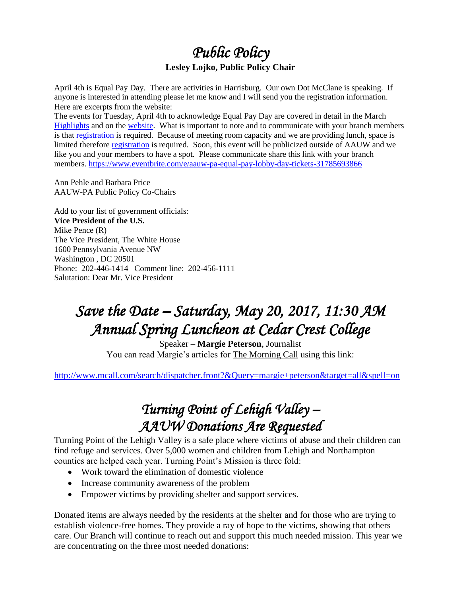### *Public Policy*  **Lesley Lojko, Public Policy Chair**

April 4th is Equal Pay Day. There are activities in Harrisburg. Our own Dot McClane is speaking. If anyone is interested in attending please let me know and I will send you the registration information. Here are excerpts from the website:

The events for Tuesday, April 4th to acknowledge Equal Pay Day are covered in detail in the March [Highlights](http://aauw-pa.aauw.net/policy/highlights/) and on the [website.](http://aauw-pa.aauw.net/policy/) What is important to note and to communicate with your branch members is that [registration i](https://www.eventbrite.com/e/aauw-pa-equal-pay-day-tickets-31785693866)s required. Because of meeting room capacity and we are providing lunch, space is limited therefore [registration](https://www.eventbrite.com/e/aauw-pa-equal-pay-day-tickets-31785693866) is required. Soon, this event will be publicized outside of AAUW and we like you and your members to have a spot. Please communicate share this link with your branch members.<https://www.eventbrite.com/e/aauw-pa-equal-pay-lobby-day-tickets-31785693866>

Ann Pehle and Barbara Price AAUW-PA Public Policy Co-Chairs

Add to your list of government officials: **Vice President of the U.S.** Mike Pence (R) The Vice President, The White House 1600 Pennsylvania Avenue NW Washington , DC 20501 Phone: 202-446-1414 Comment line: 202-456-1111 Salutation: Dear Mr. Vice President

# *Save the Date – Saturday, May 20, 2017, 11:30 AM Annual Spring Luncheon at Cedar Crest College*

Speaker – **Margie Peterson**, Journalist You can read Margie's articles for The Morning Call using this link:

<http://www.mcall.com/search/dispatcher.front?&Query=margie+peterson&target=all&spell=on>

### *Turning Point of Lehigh Valley – AAUW Donations Are Requested*

Turning Point of the Lehigh Valley is a safe place where victims of abuse and their children can find refuge and services. Over 5,000 women and children from Lehigh and Northampton counties are helped each year. Turning Point's Mission is three fold:

- Work toward the elimination of domestic violence
- Increase community awareness of the problem
- Empower victims by providing shelter and support services.

Donated items are always needed by the residents at the shelter and for those who are trying to establish violence-free homes. They provide a ray of hope to the victims, showing that others care. Our Branch will continue to reach out and support this much needed mission. This year we are concentrating on the three most needed donations: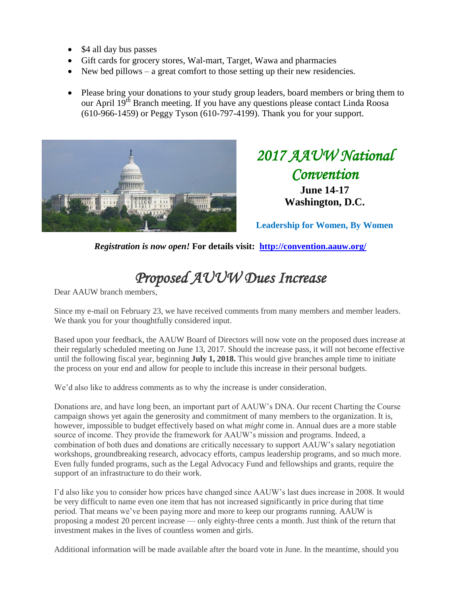- \$4 all day bus passes
- Gift cards for grocery stores, Wal-mart, Target, Wawa and pharmacies
- New bed pillows a great comfort to those setting up their new residencies.
- Please bring your donations to your study group leaders, board members or bring them to our April 19<sup>th</sup> Branch meeting. If you have any questions please contact Linda Roosa (610-966-1459) or Peggy Tyson (610-797-4199). Thank you for your support.



*2017 AAUW National Convention*  **June 14-17 Washington, D.C.**

**Leadership for Women, By Women**

*Registration is now open!* **For details visit: <http://convention.aauw.org/>**

# *Proposed AUUW Dues Increase*

Dear AAUW branch members,

Since my e-mail on February 23, we have received comments from many members and member leaders. We thank you for your thoughtfully considered input.

Based upon your feedback, the AAUW Board of Directors will now vote on the proposed dues increase at their regularly scheduled meeting on June 13, 2017. Should the increase pass, it will not become effective until the following fiscal year, beginning **July 1, 2018.** This would give branches ample time to initiate the process on your end and allow for people to include this increase in their personal budgets.

We'd also like to address comments as to why the increase is under consideration.

Donations are, and have long been, an important part of AAUW's DNA. Our recent Charting the Course campaign shows yet again the generosity and commitment of many members to the organization. It is, however, impossible to budget effectively based on what *might* come in. Annual dues are a more stable source of income. They provide the framework for AAUW's mission and programs. Indeed, a combination of both dues and donations are critically necessary to support AAUW's salary negotiation workshops, groundbreaking research, advocacy efforts, campus leadership programs, and so much more. Even fully funded programs, such as the Legal Advocacy Fund and fellowships and grants, require the support of an infrastructure to do their work.

I'd also like you to consider how prices have changed since AAUW's last dues increase in 2008. It would be very difficult to name even one item that has not increased significantly in price during that time period. That means we've been paying more and more to keep our programs running. AAUW is proposing a modest 20 percent increase — only eighty-three cents a month. Just think of the return that investment makes in the lives of countless women and girls.

Additional information will be made available after the board vote in June. In the meantime, should you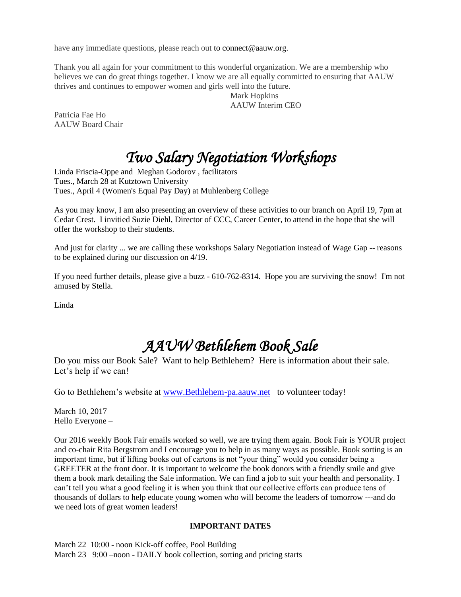have any immediate questions, please reach out to [connect@aauw.org.](mailto:connect@aauw.org)

Thank you all again for your commitment to this wonderful organization. We are a membership who believes we can do great things together. I know we are all equally committed to ensuring that AAUW thrives and continues to empower women and girls well into the future.

Mark Hopkins AAUW Interim CEO

Patricia Fae Ho AAUW Board Chair

# *Two Salary Negotiation Workshops*

Linda Friscia-Oppe and Meghan Godorov , facilitators Tues., March 28 at Kutztown University Tues., April 4 (Women's Equal Pay Day) at Muhlenberg College

As you may know, I am also presenting an overview of these activities to our branch on April 19, 7pm at Cedar Crest. I invitied Suzie Diehl, Director of CCC, Career Center, to attend in the hope that she will offer the workshop to their students.

And just for clarity ... we are calling these workshops Salary Negotiation instead of Wage Gap -- reasons to be explained during our discussion on 4/19.

If you need further details, please give a buzz - 610-762-8314. Hope you are surviving the snow! I'm not amused by Stella.

Linda

# *AAUW Bethlehem Book Sale*

Do you miss our Book Sale? Want to help Bethlehem? Here is information about their sale. Let's help if we can!

Go to Bethlehem's website at [www.Bethlehem-pa.aauw.net](http://www.bethlehem-pa.aauw.net/) to volunteer today!

March 10, 2017 Hello Everyone –

Our 2016 weekly Book Fair emails worked so well, we are trying them again. Book Fair is YOUR project and co-chair Rita Bergstrom and I encourage you to help in as many ways as possible. Book sorting is an important time, but if lifting books out of cartons is not "your thing" would you consider being a GREETER at the front door. It is important to welcome the book donors with a friendly smile and give them a book mark detailing the Sale information. We can find a job to suit your health and personality. I can't tell you what a good feeling it is when you think that our collective efforts can produce tens of thousands of dollars to help educate young women who will become the leaders of tomorrow ---and do we need lots of great women leaders!

### **IMPORTANT DATES**

March 22 10:00 - noon Kick-off coffee, Pool Building March 23 9:00 –noon - DAILY book collection, sorting and pricing starts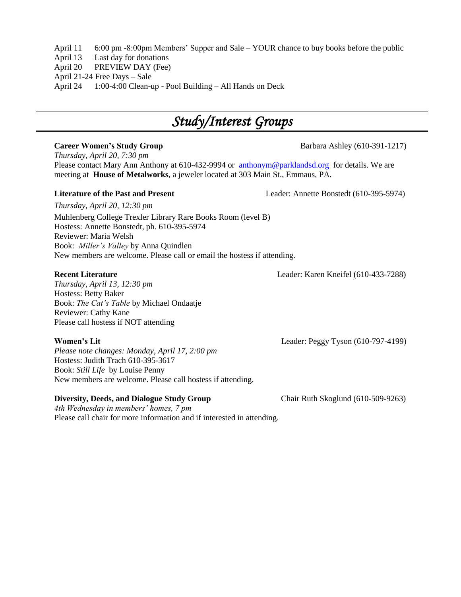April 11 6:00 pm -8:00pm Members' Supper and Sale – YOUR chance to buy books before the public

April 13 Last day for donations

April 20 PREVIEW DAY (Fee)

April 21-24 Free Days – Sale

April 24 1:00-4:00 Clean-up - Pool Building – All Hands on Deck

## *Study/Interest Groups*

*Thursday, April 20, 7:30 pm* Please contact Mary Ann Anthony at 610-432-9994 or [anthonym@parklandsd.org](mailto:anthonym@parklandsd.org) for details. We are meeting at **House of Metalworks**, a jeweler located at 303 Main St., Emmaus, PA.

### **Literature of the Past and Present** Leader: Annette Bonstedt (610-395-5974)

*Thursday, April 20, 12:30 pm* Muhlenberg College Trexler Library Rare Books Room (level B) Hostess: Annette Bonstedt, ph. 610-395-5974 Reviewer: Maria Welsh Book: *Miller's Valley* by Anna Quindlen New members are welcome. Please call or email the hostess if attending.

### **Recent Literature** Leader: Karen Kneifel (610-433-7288)

*Thursday, April 13, 12:30 pm* Hostess: Betty Baker Book: *The Cat's Table* by Michael Ondaatje Reviewer: Cathy Kane Please call hostess if NOT attending

*Please note changes: Monday, April 17, 2:00 pm* Hostess: Judith Trach 610-395-3617 Book: *Still Life* by Louise Penny New members are welcome. Please call hostess if attending.

### **Diversity, Deeds, and Dialogue Study Group Chair Ruth Skoglund (610-509-9263)**

*4th Wednesday in members' homes, 7 pm*  Please call chair for more information and if interested in attending.

**Women's Lit** Leader: Peggy Tyson (610-797-4199)

**Career Women's Study Group Barbara Ashley (610-391-1217)**